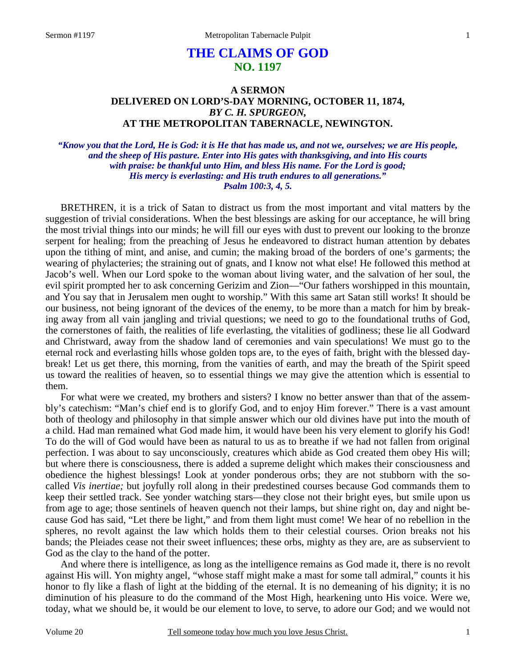# **THE CLAIMS OF GOD NO. 1197**

# **A SERMON DELIVERED ON LORD'S-DAY MORNING, OCTOBER 11, 1874,**  *BY C. H. SPURGEON,*  **AT THE METROPOLITAN TABERNACLE, NEWINGTON.**

*"Know you that the Lord, He is God: it is He that has made us, and not we, ourselves; we are His people, and the sheep of His pasture. Enter into His gates with thanksgiving, and into His courts with praise: be thankful unto Him, and bless His name. For the Lord is good; His mercy is everlasting: and His truth endures to all generations." Psalm 100:3, 4, 5.* 

BRETHREN, it is a trick of Satan to distract us from the most important and vital matters by the suggestion of trivial considerations. When the best blessings are asking for our acceptance, he will bring the most trivial things into our minds; he will fill our eyes with dust to prevent our looking to the bronze serpent for healing; from the preaching of Jesus he endeavored to distract human attention by debates upon the tithing of mint, and anise, and cumin; the making broad of the borders of one's garments; the wearing of phylacteries; the straining out of gnats, and I know not what else! He followed this method at Jacob's well. When our Lord spoke to the woman about living water, and the salvation of her soul, the evil spirit prompted her to ask concerning Gerizim and Zion—"Our fathers worshipped in this mountain, and You say that in Jerusalem men ought to worship." With this same art Satan still works! It should be our business, not being ignorant of the devices of the enemy, to be more than a match for him by breaking away from all vain jangling and trivial questions; we need to go to the foundational truths of God, the cornerstones of faith, the realities of life everlasting, the vitalities of godliness; these lie all Godward and Christward, away from the shadow land of ceremonies and vain speculations! We must go to the eternal rock and everlasting hills whose golden tops are, to the eyes of faith, bright with the blessed daybreak! Let us get there, this morning, from the vanities of earth, and may the breath of the Spirit speed us toward the realities of heaven, so to essential things we may give the attention which is essential to them.

For what were we created, my brothers and sisters? I know no better answer than that of the assembly's catechism: "Man's chief end is to glorify God, and to enjoy Him forever." There is a vast amount both of theology and philosophy in that simple answer which our old divines have put into the mouth of a child. Had man remained what God made him, it would have been his very element to glorify his God! To do the will of God would have been as natural to us as to breathe if we had not fallen from original perfection. I was about to say unconsciously, creatures which abide as God created them obey His will; but where there is consciousness, there is added a supreme delight which makes their consciousness and obedience the highest blessings! Look at yonder ponderous orbs; they are not stubborn with the socalled *Vis inertiae;* but joyfully roll along in their predestined courses because God commands them to keep their settled track. See yonder watching stars—they close not their bright eyes, but smile upon us from age to age; those sentinels of heaven quench not their lamps, but shine right on, day and night because God has said, "Let there be light," and from them light must come! We hear of no rebellion in the spheres, no revolt against the law which holds them to their celestial courses. Orion breaks not his bands; the Pleiades cease not their sweet influences; these orbs, mighty as they are, are as subservient to God as the clay to the hand of the potter.

And where there is intelligence, as long as the intelligence remains as God made it, there is no revolt against His will. Yon mighty angel, "whose staff might make a mast for some tall admiral," counts it his honor to fly like a flash of light at the bidding of the eternal. It is no demeaning of his dignity; it is no diminution of his pleasure to do the command of the Most High, hearkening unto His voice. Were we, today, what we should be, it would be our element to love, to serve, to adore our God; and we would not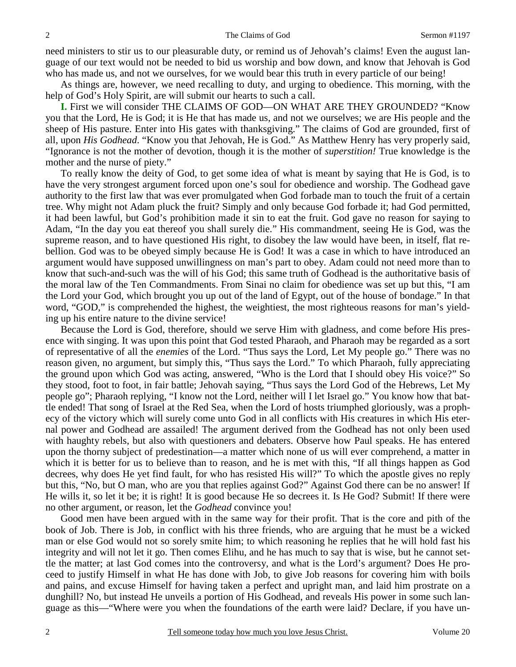need ministers to stir us to our pleasurable duty, or remind us of Jehovah's claims! Even the august language of our text would not be needed to bid us worship and bow down, and know that Jehovah is God who has made us, and not we ourselves, for we would bear this truth in every particle of our being!

As things are, however, we need recalling to duty, and urging to obedience. This morning, with the help of God's Holy Spirit, are will submit our hearts to such a call.

**I.** First we will consider THE CLAIMS OF GOD—ON WHAT ARE THEY GROUNDED? "Know you that the Lord, He is God; it is He that has made us, and not we ourselves; we are His people and the sheep of His pasture. Enter into His gates with thanksgiving." The claims of God are grounded, first of all, upon *His Godhead*. "Know you that Jehovah, He is God." As Matthew Henry has very properly said, "Ignorance is not the mother of devotion, though it is the mother of *superstition!* True knowledge is the mother and the nurse of piety."

To really know the deity of God, to get some idea of what is meant by saying that He is God, is to have the very strongest argument forced upon one's soul for obedience and worship. The Godhead gave authority to the first law that was ever promulgated when God forbade man to touch the fruit of a certain tree. Why might not Adam pluck the fruit? Simply and only because God forbade it; had God permitted, it had been lawful, but God's prohibition made it sin to eat the fruit. God gave no reason for saying to Adam, "In the day you eat thereof you shall surely die." His commandment, seeing He is God, was the supreme reason, and to have questioned His right, to disobey the law would have been, in itself, flat rebellion. God was to be obeyed simply because He is God! It was a case in which to have introduced an argument would have supposed unwillingness on man's part to obey. Adam could not need more than to know that such-and-such was the will of his God; this same truth of Godhead is the authoritative basis of the moral law of the Ten Commandments. From Sinai no claim for obedience was set up but this, "I am the Lord your God, which brought you up out of the land of Egypt, out of the house of bondage." In that word, "GOD," is comprehended the highest, the weightiest, the most righteous reasons for man's yielding up his entire nature to the divine service!

Because the Lord is God, therefore, should we serve Him with gladness, and come before His presence with singing. It was upon this point that God tested Pharaoh, and Pharaoh may be regarded as a sort of representative of all the *enemies* of the Lord. "Thus says the Lord, Let My people go." There was no reason given, no argument, but simply this, "Thus says the Lord." To which Pharaoh, fully appreciating the ground upon which God was acting, answered, "Who is the Lord that I should obey His voice?" So they stood, foot to foot, in fair battle; Jehovah saying, "Thus says the Lord God of the Hebrews, Let My people go"; Pharaoh replying, "I know not the Lord, neither will I let Israel go." You know how that battle ended! That song of Israel at the Red Sea, when the Lord of hosts triumphed gloriously, was a prophecy of the victory which will surely come unto God in all conflicts with His creatures in which His eternal power and Godhead are assailed! The argument derived from the Godhead has not only been used with haughty rebels, but also with questioners and debaters. Observe how Paul speaks. He has entered upon the thorny subject of predestination—a matter which none of us will ever comprehend, a matter in which it is better for us to believe than to reason, and he is met with this, "If all things happen as God decrees, why does He yet find fault, for who has resisted His will?" To which the apostle gives no reply but this, "No, but O man, who are you that replies against God?" Against God there can be no answer! If He wills it, so let it be; it is right! It is good because He so decrees it. Is He God? Submit! If there were no other argument, or reason, let the *Godhead* convince you!

Good men have been argued with in the same way for their profit. That is the core and pith of the book of Job. There is Job, in conflict with his three friends, who are arguing that he must be a wicked man or else God would not so sorely smite him; to which reasoning he replies that he will hold fast his integrity and will not let it go. Then comes Elihu, and he has much to say that is wise, but he cannot settle the matter; at last God comes into the controversy, and what is the Lord's argument? Does He proceed to justify Himself in what He has done with Job, to give Job reasons for covering him with boils and pains, and excuse Himself for having taken a perfect and upright man, and laid him prostrate on a dunghill? No, but instead He unveils a portion of His Godhead, and reveals His power in some such language as this—"Where were you when the foundations of the earth were laid? Declare, if you have un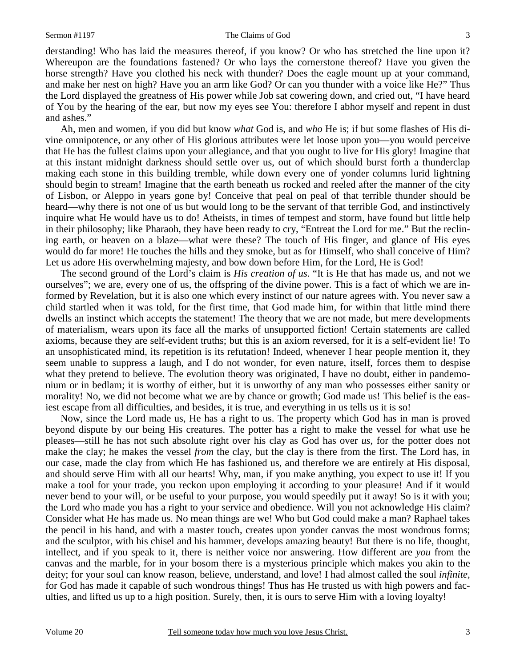derstanding! Who has laid the measures thereof, if you know? Or who has stretched the line upon it? Whereupon are the foundations fastened? Or who lays the cornerstone thereof? Have you given the horse strength? Have you clothed his neck with thunder? Does the eagle mount up at your command, and make her nest on high? Have you an arm like God? Or can you thunder with a voice like He?" Thus the Lord displayed the greatness of His power while Job sat cowering down, and cried out, "I have heard of You by the hearing of the ear, but now my eyes see You: therefore I abhor myself and repent in dust and ashes."

Ah, men and women, if you did but know *what* God is, and *who* He is; if but some flashes of His divine omnipotence, or any other of His glorious attributes were let loose upon you—you would perceive that He has the fullest claims upon your allegiance, and that you ought to live for His glory! Imagine that at this instant midnight darkness should settle over us, out of which should burst forth a thunderclap making each stone in this building tremble, while down every one of yonder columns lurid lightning should begin to stream! Imagine that the earth beneath us rocked and reeled after the manner of the city of Lisbon, or Aleppo in years gone by! Conceive that peal on peal of that terrible thunder should be heard—why there is not one of us but would long to be the servant of that terrible God, and instinctively inquire what He would have us to do! Atheists, in times of tempest and storm, have found but little help in their philosophy; like Pharaoh, they have been ready to cry, "Entreat the Lord for me." But the reclining earth, or heaven on a blaze—what were these? The touch of His finger, and glance of His eyes would do far more! He touches the hills and they smoke, but as for Himself, who shall conceive of Him? Let us adore His overwhelming majesty, and bow down before Him, for the Lord, He is God!

The second ground of the Lord's claim is *His creation of us*. "It is He that has made us, and not we ourselves"; we are, every one of us, the offspring of the divine power. This is a fact of which we are informed by Revelation, but it is also one which every instinct of our nature agrees with. You never saw a child startled when it was told, for the first time, that God made him, for within that little mind there dwells an instinct which accepts the statement! The theory that we are not made, but mere developments of materialism, wears upon its face all the marks of unsupported fiction! Certain statements are called axioms, because they are self-evident truths; but this is an axiom reversed, for it is a self-evident lie! To an unsophisticated mind, its repetition is its refutation! Indeed, whenever I hear people mention it, they seem unable to suppress a laugh, and I do not wonder, for even nature, itself, forces them to despise what they pretend to believe. The evolution theory was originated, I have no doubt, either in pandemonium or in bedlam; it is worthy of either, but it is unworthy of any man who possesses either sanity or morality! No, we did not become what we are by chance or growth; God made us! This belief is the easiest escape from all difficulties, and besides, it is true, and everything in us tells us it is so!

Now, since the Lord made us, He has a right to us. The property which God has in man is proved beyond dispute by our being His creatures. The potter has a right to make the vessel for what use he pleases—still he has not such absolute right over his clay as God has over *us,* for the potter does not make the clay; he makes the vessel *from* the clay, but the clay is there from the first. The Lord has, in our case, made the clay from which He has fashioned us, and therefore we are entirely at His disposal, and should serve Him with all our hearts! Why, man, if you make anything, you expect to use it! If you make a tool for your trade, you reckon upon employing it according to your pleasure! And if it would never bend to your will, or be useful to your purpose, you would speedily put it away! So is it with you; the Lord who made you has a right to your service and obedience. Will you not acknowledge His claim? Consider what He has made us. No mean things are we! Who but God could make a man? Raphael takes the pencil in his hand, and with a master touch, creates upon yonder canvas the most wondrous forms; and the sculptor, with his chisel and his hammer, develops amazing beauty! But there is no life, thought, intellect, and if you speak to it, there is neither voice nor answering. How different are *you* from the canvas and the marble, for in your bosom there is a mysterious principle which makes you akin to the deity; for your soul can know reason, believe, understand, and love! I had almost called the soul *infinite,*  for God has made it capable of such wondrous things! Thus has He trusted us with high powers and faculties, and lifted us up to a high position. Surely, then, it is ours to serve Him with a loving loyalty!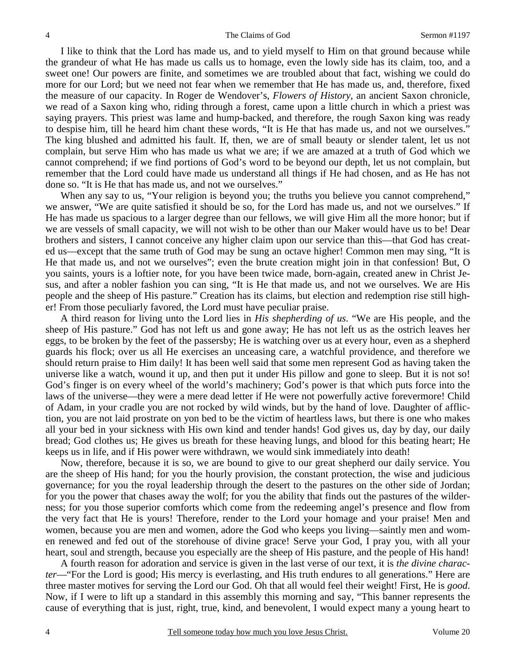I like to think that the Lord has made us, and to yield myself to Him on that ground because while the grandeur of what He has made us calls us to homage, even the lowly side has its claim, too, and a sweet one! Our powers are finite, and sometimes we are troubled about that fact, wishing we could do more for our Lord; but we need not fear when we remember that He has made us, and, therefore, fixed the measure of our capacity. In Roger de Wendover's, *Flowers of History,* an ancient Saxon chronicle, we read of a Saxon king who, riding through a forest, came upon a little church in which a priest was saying prayers. This priest was lame and hump-backed, and therefore, the rough Saxon king was ready to despise him, till he heard him chant these words, "It is He that has made us, and not we ourselves." The king blushed and admitted his fault. If, then, we are of small beauty or slender talent, let us not complain, but serve Him who has made us what we are; if we are amazed at a truth of God which we cannot comprehend; if we find portions of God's word to be beyond our depth, let us not complain, but remember that the Lord could have made us understand all things if He had chosen, and as He has not done so. "It is He that has made us, and not we ourselves."

When any say to us, "Your religion is beyond you; the truths you believe you cannot comprehend," we answer, "We are quite satisfied it should be so, for the Lord has made us, and not we ourselves." If He has made us spacious to a larger degree than our fellows, we will give Him all the more honor; but if we are vessels of small capacity, we will not wish to be other than our Maker would have us to be! Dear brothers and sisters, I cannot conceive any higher claim upon our service than this—that God has created us—except that the same truth of God may be sung an octave higher! Common men may sing, "It is He that made us, and not we ourselves"; even the brute creation might join in that confession! But, O you saints, yours is a loftier note, for you have been twice made, born-again, created anew in Christ Jesus, and after a nobler fashion you can sing, "It is He that made us, and not we ourselves. We are His people and the sheep of His pasture." Creation has its claims, but election and redemption rise still higher! From those peculiarly favored, the Lord must have peculiar praise.

A third reason for living unto the Lord lies in *His shepherding of us*. "We are His people, and the sheep of His pasture." God has not left us and gone away; He has not left us as the ostrich leaves her eggs, to be broken by the feet of the passersby; He is watching over us at every hour, even as a shepherd guards his flock; over us all He exercises an unceasing care, a watchful providence, and therefore we should return praise to Him daily! It has been well said that some men represent God as having taken the universe like a watch, wound it up, and then put it under His pillow and gone to sleep. But it is not so! God's finger is on every wheel of the world's machinery; God's power is that which puts force into the laws of the universe—they were a mere dead letter if He were not powerfully active forevermore! Child of Adam, in your cradle you are not rocked by wild winds, but by the hand of love. Daughter of affliction, you are not laid prostrate on yon bed to be the victim of heartless laws, but there is one who makes all your bed in your sickness with His own kind and tender hands! God gives us, day by day, our daily bread; God clothes us; He gives us breath for these heaving lungs, and blood for this beating heart; He keeps us in life, and if His power were withdrawn, we would sink immediately into death!

Now, therefore, because it is so, we are bound to give to our great shepherd our daily service. You are the sheep of His hand; for you the hourly provision, the constant protection, the wise and judicious governance; for you the royal leadership through the desert to the pastures on the other side of Jordan; for you the power that chases away the wolf; for you the ability that finds out the pastures of the wilderness; for you those superior comforts which come from the redeeming angel's presence and flow from the very fact that He is yours! Therefore, render to the Lord your homage and your praise! Men and women, because you are men and women, adore the God who keeps you living—saintly men and women renewed and fed out of the storehouse of divine grace! Serve your God, I pray you, with all your heart, soul and strength, because you especially are the sheep of His pasture, and the people of His hand!

A fourth reason for adoration and service is given in the last verse of our text, it is *the divine character*—"For the Lord is good; His mercy is everlasting, and His truth endures to all generations." Here are three master motives for serving the Lord our God. Oh that all would feel their weight! First, He is *good*. Now, if I were to lift up a standard in this assembly this morning and say, "This banner represents the cause of everything that is just, right, true, kind, and benevolent, I would expect many a young heart to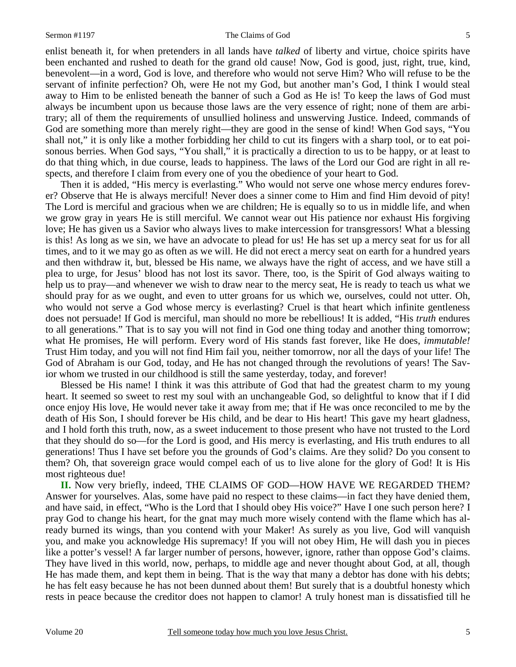#### Sermon #1197 The Claims of God

enlist beneath it, for when pretenders in all lands have *talked* of liberty and virtue, choice spirits have been enchanted and rushed to death for the grand old cause! Now, God is good, just, right, true, kind, benevolent—in a word, God is love, and therefore who would not serve Him? Who will refuse to be the servant of infinite perfection? Oh, were He not my God, but another man's God, I think I would steal away to Him to be enlisted beneath the banner of such a God as He is! To keep the laws of God must always be incumbent upon us because those laws are the very essence of right; none of them are arbitrary; all of them the requirements of unsullied holiness and unswerving Justice. Indeed, commands of God are something more than merely right—they are good in the sense of kind! When God says, "You shall not," it is only like a mother forbidding her child to cut its fingers with a sharp tool, or to eat poisonous berries. When God says, "You shall," it is practically a direction to us to be happy, or at least to do that thing which, in due course, leads to happiness. The laws of the Lord our God are right in all respects, and therefore I claim from every one of you the obedience of your heart to God.

Then it is added, "His mercy is everlasting." Who would not serve one whose mercy endures forever? Observe that He is always merciful! Never does a sinner come to Him and find Him devoid of pity! The Lord is merciful and gracious when we are children; He is equally so to us in middle life, and when we grow gray in years He is still merciful. We cannot wear out His patience nor exhaust His forgiving love; He has given us a Savior who always lives to make intercession for transgressors! What a blessing is this! As long as we sin, we have an advocate to plead for us! He has set up a mercy seat for us for all times, and to it we may go as often as we will. He did not erect a mercy seat on earth for a hundred years and then withdraw it, but, blessed be His name, we always have the right of access, and we have still a plea to urge, for Jesus' blood has not lost its savor. There, too, is the Spirit of God always waiting to help us to pray—and whenever we wish to draw near to the mercy seat, He is ready to teach us what we should pray for as we ought, and even to utter groans for us which we, ourselves, could not utter. Oh, who would not serve a God whose mercy is everlasting? Cruel is that heart which infinite gentleness does not persuade! If God is merciful, man should no more be rebellious! It is added, "His *truth* endures to all generations." That is to say you will not find in God one thing today and another thing tomorrow; what He promises, He will perform. Every word of His stands fast forever, like He does, *immutable!* Trust Him today, and you will not find Him fail you, neither tomorrow, nor all the days of your life! The God of Abraham is our God, today, and He has not changed through the revolutions of years! The Savior whom we trusted in our childhood is still the same yesterday, today, and forever!

Blessed be His name! I think it was this attribute of God that had the greatest charm to my young heart. It seemed so sweet to rest my soul with an unchangeable God, so delightful to know that if I did once enjoy His love, He would never take it away from me; that if He was once reconciled to me by the death of His Son, I should forever be His child, and be dear to His heart! This gave my heart gladness, and I hold forth this truth, now, as a sweet inducement to those present who have not trusted to the Lord that they should do so—for the Lord is good, and His mercy is everlasting, and His truth endures to all generations! Thus I have set before you the grounds of God's claims. Are they solid? Do you consent to them? Oh, that sovereign grace would compel each of us to live alone for the glory of God! It is His most righteous due!

**II.** Now very briefly, indeed, THE CLAIMS OF GOD—HOW HAVE WE REGARDED THEM? Answer for yourselves. Alas, some have paid no respect to these claims—in fact they have denied them, and have said, in effect, "Who is the Lord that I should obey His voice?" Have I one such person here? I pray God to change his heart, for the gnat may much more wisely contend with the flame which has already burned its wings, than you contend with your Maker! As surely as you live, God will vanquish you, and make you acknowledge His supremacy! If you will not obey Him, He will dash you in pieces like a potter's vessel! A far larger number of persons, however, ignore, rather than oppose God's claims. They have lived in this world, now, perhaps, to middle age and never thought about God, at all, though He has made them, and kept them in being. That is the way that many a debtor has done with his debts; he has felt easy because he has not been dunned about them! But surely that is a doubtful honesty which rests in peace because the creditor does not happen to clamor! A truly honest man is dissatisfied till he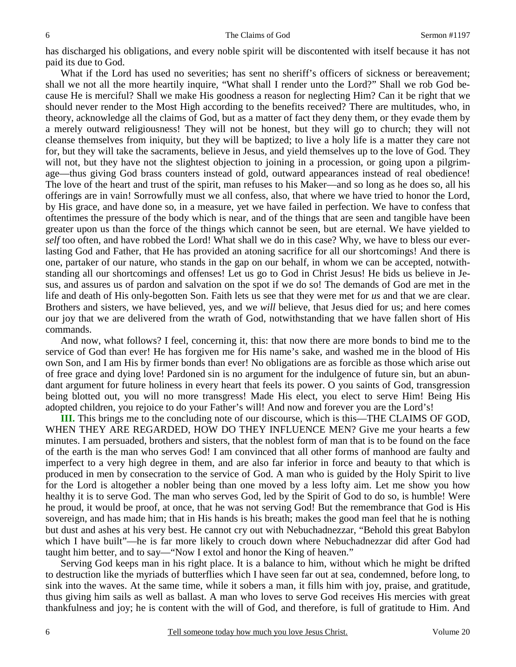has discharged his obligations, and every noble spirit will be discontented with itself because it has not paid its due to God.

What if the Lord has used no severities; has sent no sheriff's officers of sickness or bereavement; shall we not all the more heartily inquire, "What shall I render unto the Lord?" Shall we rob God because He is merciful? Shall we make His goodness a reason for neglecting Him? Can it be right that we should never render to the Most High according to the benefits received? There are multitudes, who, in theory, acknowledge all the claims of God, but as a matter of fact they deny them, or they evade them by a merely outward religiousness! They will not be honest, but they will go to church; they will not cleanse themselves from iniquity, but they will be baptized; to live a holy life is a matter they care not for, but they will take the sacraments, believe in Jesus, and yield themselves up to the love of God. They will not, but they have not the slightest objection to joining in a procession, or going upon a pilgrimage—thus giving God brass counters instead of gold, outward appearances instead of real obedience! The love of the heart and trust of the spirit, man refuses to his Maker—and so long as he does so, all his offerings are in vain! Sorrowfully must we all confess, also, that where we have tried to honor the Lord, by His grace, and have done so, in a measure, yet we have failed in perfection. We have to confess that oftentimes the pressure of the body which is near, and of the things that are seen and tangible have been greater upon us than the force of the things which cannot be seen, but are eternal. We have yielded to *self* too often, and have robbed the Lord! What shall we do in this case? Why, we have to bless our everlasting God and Father, that He has provided an atoning sacrifice for all our shortcomings! And there is one, partaker of our nature, who stands in the gap on our behalf, in whom we can be accepted, notwithstanding all our shortcomings and offenses! Let us go to God in Christ Jesus! He bids us believe in Jesus, and assures us of pardon and salvation on the spot if we do so! The demands of God are met in the life and death of His only-begotten Son. Faith lets us see that they were met for *us* and that we are clear. Brothers and sisters, we have believed, yes, and we *will* believe, that Jesus died for us; and here comes our joy that we are delivered from the wrath of God, notwithstanding that we have fallen short of His commands.

And now, what follows? I feel, concerning it, this: that now there are more bonds to bind me to the service of God than ever! He has forgiven me for His name's sake, and washed me in the blood of His own Son, and I am His by firmer bonds than ever! No obligations are as forcible as those which arise out of free grace and dying love! Pardoned sin is no argument for the indulgence of future sin, but an abundant argument for future holiness in every heart that feels its power. O you saints of God, transgression being blotted out, you will no more transgress! Made His elect, you elect to serve Him! Being His adopted children, you rejoice to do your Father's will! And now and forever you are the Lord's!

**III.** This brings me to the concluding note of our discourse, which is this—THE CLAIMS OF GOD, WHEN THEY ARE REGARDED, HOW DO THEY INFLUENCE MEN? Give me your hearts a few minutes. I am persuaded, brothers and sisters, that the noblest form of man that is to be found on the face of the earth is the man who serves God! I am convinced that all other forms of manhood are faulty and imperfect to a very high degree in them, and are also far inferior in force and beauty to that which is produced in men by consecration to the service of God. A man who is guided by the Holy Spirit to live for the Lord is altogether a nobler being than one moved by a less lofty aim. Let me show you how healthy it is to serve God. The man who serves God, led by the Spirit of God to do so, is humble! Were he proud, it would be proof, at once, that he was not serving God! But the remembrance that God is His sovereign, and has made him; that in His hands is his breath; makes the good man feel that he is nothing but dust and ashes at his very best. He cannot cry out with Nebuchadnezzar, "Behold this great Babylon which I have built"—he is far more likely to crouch down where Nebuchadnezzar did after God had taught him better, and to say—"Now I extol and honor the King of heaven."

Serving God keeps man in his right place. It is a balance to him, without which he might be drifted to destruction like the myriads of butterflies which I have seen far out at sea, condemned, before long, to sink into the waves. At the same time, while it sobers a man, it fills him with joy, praise, and gratitude, thus giving him sails as well as ballast. A man who loves to serve God receives His mercies with great thankfulness and joy; he is content with the will of God, and therefore, is full of gratitude to Him. And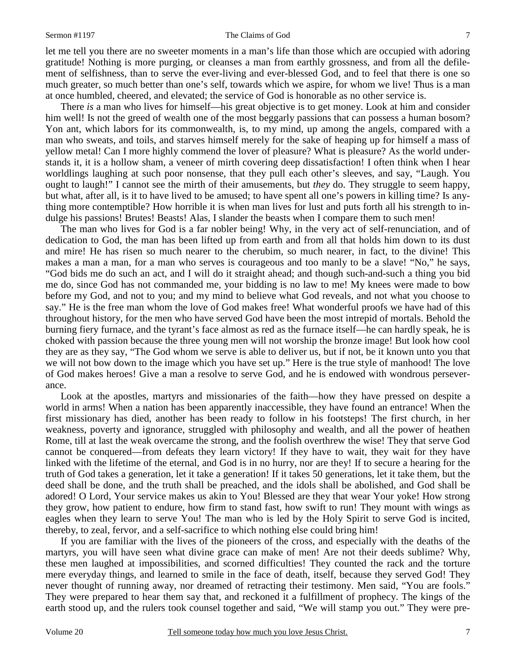#### Sermon #1197 The Claims of God

let me tell you there are no sweeter moments in a man's life than those which are occupied with adoring gratitude! Nothing is more purging, or cleanses a man from earthly grossness, and from all the defilement of selfishness, than to serve the ever-living and ever-blessed God, and to feel that there is one so much greater, so much better than one's self, towards which we aspire, for whom we live! Thus is a man at once humbled, cheered, and elevated; the service of God is honorable as no other service is.

There *is* a man who lives for himself—his great objective is to get money. Look at him and consider him well! Is not the greed of wealth one of the most beggarly passions that can possess a human bosom? Yon ant, which labors for its commonwealth, is, to my mind, up among the angels, compared with a man who sweats, and toils, and starves himself merely for the sake of heaping up for himself a mass of yellow metal! Can I more highly commend the lover of pleasure? What is pleasure? As the world understands it, it is a hollow sham, a veneer of mirth covering deep dissatisfaction! I often think when I hear worldlings laughing at such poor nonsense, that they pull each other's sleeves, and say, "Laugh. You ought to laugh!" I cannot see the mirth of their amusements, but *they* do. They struggle to seem happy, but what, after all, is it to have lived to be amused; to have spent all one's powers in killing time? Is anything more contemptible? How horrible it is when man lives for lust and puts forth all his strength to indulge his passions! Brutes! Beasts! Alas, I slander the beasts when I compare them to such men!

The man who lives for God is a far nobler being! Why, in the very act of self-renunciation, and of dedication to God, the man has been lifted up from earth and from all that holds him down to its dust and mire! He has risen so much nearer to the cherubim, so much nearer, in fact, to the divine! This makes a man a man, for a man who serves is courageous and too manly to be a slave! "No," he says, "God bids me do such an act, and I will do it straight ahead; and though such-and-such a thing you bid me do, since God has not commanded me, your bidding is no law to me! My knees were made to bow before my God, and not to you; and my mind to believe what God reveals, and not what you choose to say." He is the free man whom the love of God makes free! What wonderful proofs we have had of this throughout history, for the men who have served God have been the most intrepid of mortals. Behold the burning fiery furnace, and the tyrant's face almost as red as the furnace itself—he can hardly speak, he is choked with passion because the three young men will not worship the bronze image! But look how cool they are as they say, "The God whom we serve is able to deliver us, but if not, be it known unto you that we will not bow down to the image which you have set up." Here is the true style of manhood! The love of God makes heroes! Give a man a resolve to serve God, and he is endowed with wondrous perseverance.

Look at the apostles, martyrs and missionaries of the faith—how they have pressed on despite a world in arms! When a nation has been apparently inaccessible, they have found an entrance! When the first missionary has died, another has been ready to follow in his footsteps! The first church, in her weakness, poverty and ignorance, struggled with philosophy and wealth, and all the power of heathen Rome, till at last the weak overcame the strong, and the foolish overthrew the wise! They that serve God cannot be conquered—from defeats they learn victory! If they have to wait, they wait for they have linked with the lifetime of the eternal, and God is in no hurry, nor are they! If to secure a hearing for the truth of God takes a generation, let it take a generation! If it takes 50 generations, let it take them, but the deed shall be done, and the truth shall be preached, and the idols shall be abolished, and God shall be adored! O Lord, Your service makes us akin to You! Blessed are they that wear Your yoke! How strong they grow, how patient to endure, how firm to stand fast, how swift to run! They mount with wings as eagles when they learn to serve You! The man who is led by the Holy Spirit to serve God is incited, thereby, to zeal, fervor, and a self-sacrifice to which nothing else could bring him!

If you are familiar with the lives of the pioneers of the cross, and especially with the deaths of the martyrs, you will have seen what divine grace can make of men! Are not their deeds sublime? Why, these men laughed at impossibilities, and scorned difficulties! They counted the rack and the torture mere everyday things, and learned to smile in the face of death, itself, because they served God! They never thought of running away, nor dreamed of retracting their testimony. Men said, "You are fools." They were prepared to hear them say that, and reckoned it a fulfillment of prophecy. The kings of the earth stood up, and the rulers took counsel together and said, "We will stamp you out." They were pre